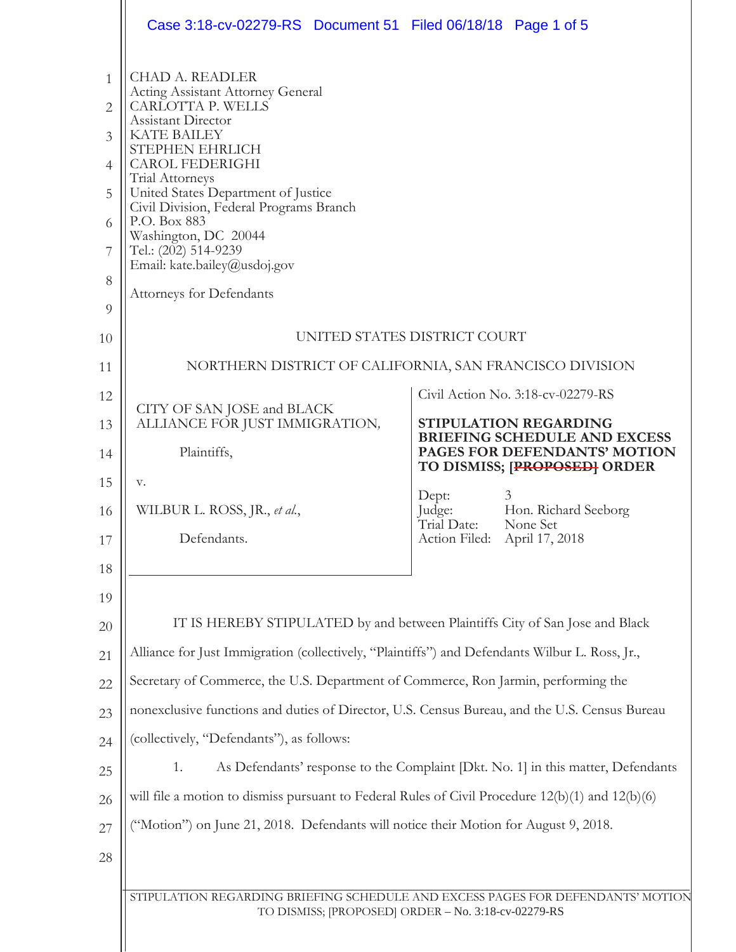|              | Case 3:18-cv-02279-RS  Document 51  Filed 06/18/18  Page 1 of 5                                                                        |                                                                                              |
|--------------|----------------------------------------------------------------------------------------------------------------------------------------|----------------------------------------------------------------------------------------------|
| $\mathbf{1}$ | <b>CHAD A. READLER</b><br><b>Acting Assistant Attorney General</b>                                                                     |                                                                                              |
| $\mathbf{2}$ | CARLOTTA P. WELLS<br>Assistant Director                                                                                                |                                                                                              |
| 3            | <b>KATE BAILEY</b><br>STEPHEN EHRLICH                                                                                                  |                                                                                              |
| 4            | <b>CAROL FEDERIGHI</b><br>Trial Attorneys                                                                                              |                                                                                              |
| 5            | United States Department of Justice<br>Civil Division, Federal Programs Branch                                                         |                                                                                              |
| 6            | P.O. Box 883<br>Washington, DC 20044                                                                                                   |                                                                                              |
| 7            | Tel.: (202) 514-9239<br>Email: kate.bailey@usdoj.gov                                                                                   |                                                                                              |
| 8            | <b>Attorneys for Defendants</b>                                                                                                        |                                                                                              |
| 9            |                                                                                                                                        |                                                                                              |
| 10           |                                                                                                                                        | UNITED STATES DISTRICT COURT                                                                 |
| 11           | NORTHERN DISTRICT OF CALIFORNIA, SAN FRANCISCO DIVISION                                                                                |                                                                                              |
| 12           | CITY OF SAN JOSE and BLACK                                                                                                             | Civil Action No. 3:18-cv-02279-RS                                                            |
| 13<br>14     | ALLIANCE FOR JUST IMMIGRATION,<br>Plaintiffs,                                                                                          | STIPULATION REGARDING<br><b>BRIEFING SCHEDULE AND EXCESS</b><br>PAGES FOR DEFENDANTS' MOTION |
| 15           | V.                                                                                                                                     | TO DISMISS; [PROPOSED] ORDER                                                                 |
| 16           | WILBUR L. ROSS, JR., et al.,                                                                                                           | 3<br>Dept:<br>Judge:<br>Hon. Richard Seeborg                                                 |
| 17           | Defendants.                                                                                                                            | Trial Date:<br>None Set<br>Action Filed: April 17, 2018                                      |
| 18           |                                                                                                                                        |                                                                                              |
| 19           |                                                                                                                                        |                                                                                              |
| 20           | IT IS HEREBY STIPULATED by and between Plaintiffs City of San Jose and Black                                                           |                                                                                              |
| 21           | Alliance for Just Immigration (collectively, "Plaintiffs") and Defendants Wilbur L. Ross, Jr.,                                         |                                                                                              |
| 22           | Secretary of Commerce, the U.S. Department of Commerce, Ron Jarmin, performing the                                                     |                                                                                              |
| 23           | nonexclusive functions and duties of Director, U.S. Census Bureau, and the U.S. Census Bureau                                          |                                                                                              |
| 24           | (collectively, "Defendants"), as follows:                                                                                              |                                                                                              |
| 25           | 1.                                                                                                                                     | As Defendants' response to the Complaint [Dkt. No. 1] in this matter, Defendants             |
| 26           | will file a motion to dismiss pursuant to Federal Rules of Civil Procedure 12(b)(1) and 12(b)(6)                                       |                                                                                              |
| 27           | ("Motion") on June 21, 2018. Defendants will notice their Motion for August 9, 2018.                                                   |                                                                                              |
| 28           |                                                                                                                                        |                                                                                              |
|              | STIPULATION REGARDING BRIEFING SCHEDULE AND EXCESS PAGES FOR DEFENDANTS' MOTION<br>TO DISMISS; [PROPOSED] ORDER - No. 3:18-cv-02279-RS |                                                                                              |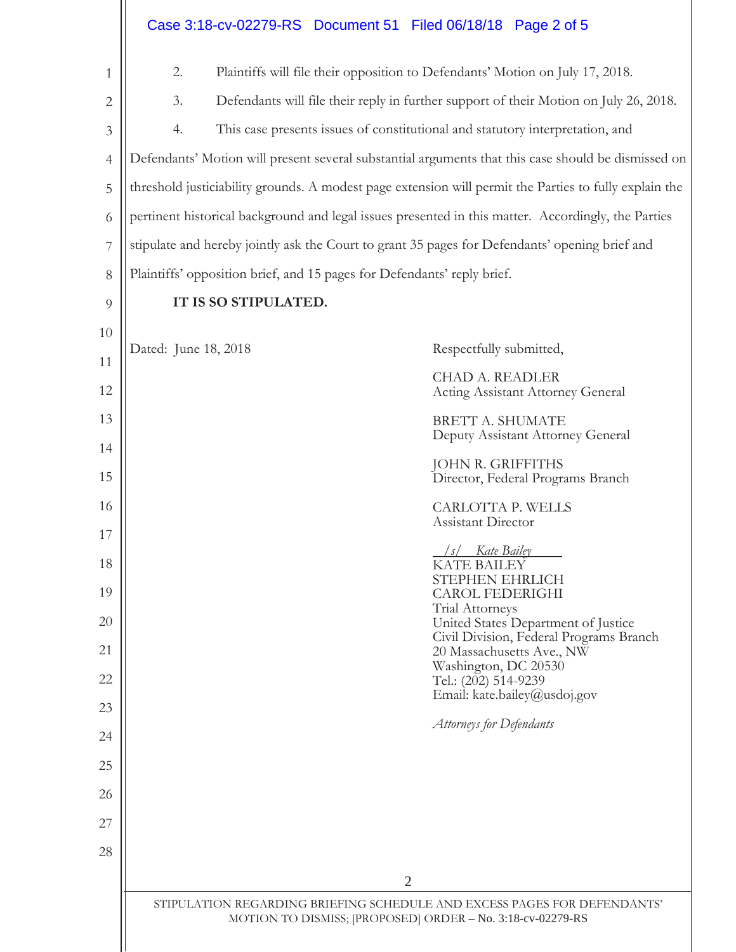|                | Case 3:18-cv-02279-RS Document 51 Filed 06/18/18 Page 2 of 5                                                                           |                                                                                              |
|----------------|----------------------------------------------------------------------------------------------------------------------------------------|----------------------------------------------------------------------------------------------|
| 1              | 2.                                                                                                                                     | Plaintiffs will file their opposition to Defendants' Motion on July 17, 2018.                |
| $\mathbf{2}$   | 3.                                                                                                                                     | Defendants will file their reply in further support of their Motion on July 26, 2018.        |
| 3              | 4.                                                                                                                                     | This case presents issues of constitutional and statutory interpretation, and                |
| $\overline{4}$ | Defendants' Motion will present several substantial arguments that this case should be dismissed on                                    |                                                                                              |
| 5              | threshold justiciability grounds. A modest page extension will permit the Parties to fully explain the                                 |                                                                                              |
| 6              | pertinent historical background and legal issues presented in this matter. Accordingly, the Parties                                    |                                                                                              |
| 7              | stipulate and hereby jointly ask the Court to grant 35 pages for Defendants' opening brief and                                         |                                                                                              |
| 8              | Plaintiffs' opposition brief, and 15 pages for Defendants' reply brief.                                                                |                                                                                              |
| 9              | IT IS SO STIPULATED.                                                                                                                   |                                                                                              |
| 10             | Dated: June 18, 2018                                                                                                                   | Respectfully submitted,                                                                      |
| 11             |                                                                                                                                        | <b>CHAD A. READLER</b>                                                                       |
| 12             |                                                                                                                                        | <b>Acting Assistant Attorney General</b>                                                     |
| 13<br>14       |                                                                                                                                        | BRETT A. SHUMATE<br>Deputy Assistant Attorney General                                        |
| 15             |                                                                                                                                        | JOHN R. GRIFFITHS<br>Director, Federal Programs Branch                                       |
| 16             |                                                                                                                                        | CARLOTTA P. WELLS                                                                            |
| 17             |                                                                                                                                        | Assistant Director                                                                           |
| 18             |                                                                                                                                        | Kate Bailey<br>KATE BAILEY                                                                   |
| 19             |                                                                                                                                        | STEPHEN EHRLICH<br><b>CAROL FEDERIGHI</b>                                                    |
| 20             |                                                                                                                                        | Trial Attorneys<br>United States Department of Justice                                       |
| 21<br>22       |                                                                                                                                        | Civil Division, Federal Programs Branch<br>20 Massachusetts Ave., NW<br>Washington, DC 20530 |
| 23             |                                                                                                                                        | Tel.: (202) 514-9239<br>Email: kate.bailey@usdoj.gov                                         |
| 24             |                                                                                                                                        | <b>Attorneys for Defendants</b>                                                              |
| 25             |                                                                                                                                        |                                                                                              |
| 26             |                                                                                                                                        |                                                                                              |
| 27             |                                                                                                                                        |                                                                                              |
| 28             |                                                                                                                                        |                                                                                              |
|                | $\overline{2}$                                                                                                                         |                                                                                              |
|                | STIPULATION REGARDING BRIEFING SCHEDULE AND EXCESS PAGES FOR DEFENDANTS'<br>MOTION TO DISMISS; [PROPOSED] ORDER - No. 3:18-cv-02279-RS |                                                                                              |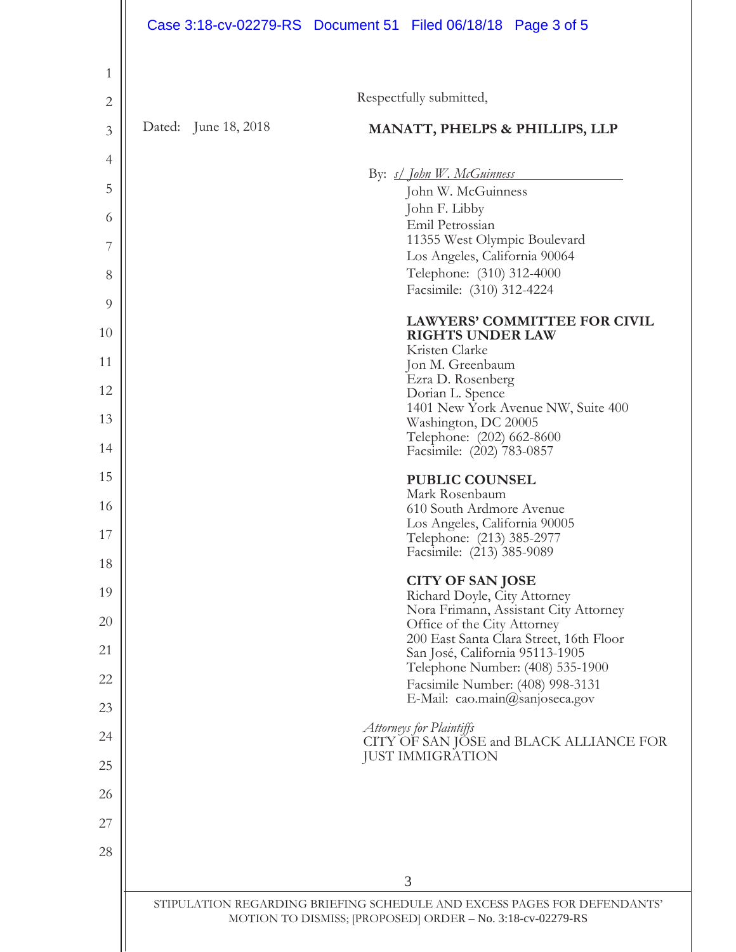|              | Case 3:18-cv-02279-RS  Document 51  Filed 06/18/18  Page 3 of 5          |  |
|--------------|--------------------------------------------------------------------------|--|
| 1            |                                                                          |  |
| $\mathbf{2}$ | Respectfully submitted,                                                  |  |
| 3            | Dated: June 18, 2018<br><b>MANATT, PHELPS &amp; PHILLIPS, LLP</b>        |  |
| 4            |                                                                          |  |
| 5            | By: s/ John W. McGuinness<br>John W. McGuinness                          |  |
| 6            | John F. Libby                                                            |  |
| 7            | Emil Petrossian<br>11355 West Olympic Boulevard                          |  |
| 8            | Los Angeles, California 90064<br>Telephone: (310) 312-4000               |  |
| 9            | Facsimile: (310) 312-4224                                                |  |
| 10           | <b>LAWYERS' COMMITTEE FOR CIVIL</b><br><b>RIGHTS UNDER LAW</b>           |  |
| 11           | Kristen Clarke<br>Jon M. Greenbaum                                       |  |
| 12           | Ezra D. Rosenberg                                                        |  |
| 13           | Dorian L. Spence<br>1401 New York Avenue NW, Suite 400                   |  |
| 14           | Washington, DC 20005<br>Telephone: (202) 662-8600                        |  |
| 15           | Facsimile: (202) 783-0857                                                |  |
| 16           | <b>PUBLIC COUNSEL</b><br>Mark Rosenbaum                                  |  |
| 17           | 610 South Ardmore Avenue<br>Los Angeles, California 90005                |  |
| 18           | Telephone: (213) 385-2977<br>Facsimile: (213) 385-9089                   |  |
| 19           | <b>CITY OF SAN JOSE</b>                                                  |  |
| 20           | Richard Doyle, City Attorney<br>Nora Frimann, Assistant City Attorney    |  |
| 21           | Office of the City Attorney<br>200 East Santa Clara Street, 16th Floor   |  |
|              | San José, California 95113-1905<br>Telephone Number: (408) 535-1900      |  |
| 22           | Facsimile Number: (408) 998-3131<br>E-Mail: cao.main@sanjoseca.gov       |  |
| 23           | Attorneys for Plaintiffs                                                 |  |
| 24           | CITY OF SAN JOSE and BLACK ALLIANCE FOR<br><b>JUST IMMIGRATION</b>       |  |
| 25           |                                                                          |  |
| 26           |                                                                          |  |
| 27           |                                                                          |  |
| 28           | 3                                                                        |  |
|              | STIPULATION REGARDING BRIEFING SCHEDULE AND EXCESS PAGES FOR DEFENDANTS' |  |
|              | MOTION TO DISMISS; [PROPOSED] ORDER - No. 3:18-cv-02279-RS               |  |
|              |                                                                          |  |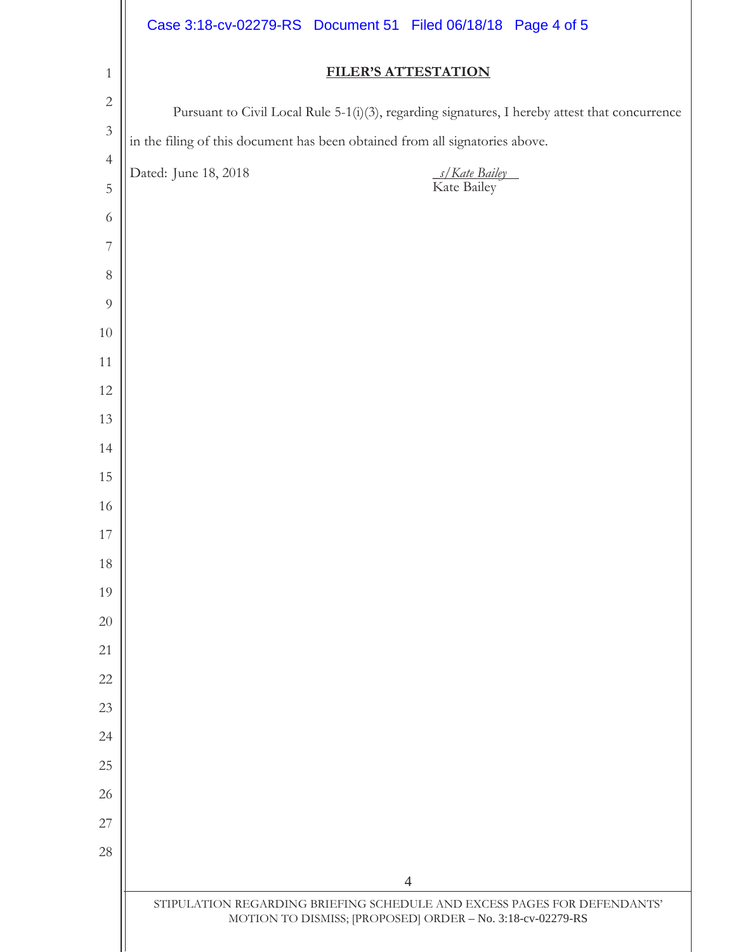|                | Case 3:18-cv-02279-RS Document 51 Filed 06/18/18 Page 4 of 5                                                                           |
|----------------|----------------------------------------------------------------------------------------------------------------------------------------|
| $\mathbf{1}$   | <b>FILER'S ATTESTATION</b>                                                                                                             |
| $\sqrt{2}$     | Pursuant to Civil Local Rule 5-1(i)(3), regarding signatures, I hereby attest that concurrence                                         |
| $\mathfrak{Z}$ | in the filing of this document has been obtained from all signatories above.                                                           |
| $\overline{4}$ | Dated: June 18, 2018<br>s/Kate Bailey                                                                                                  |
| $\mathbf 5$    | Kate Bailey                                                                                                                            |
| 6              |                                                                                                                                        |
| 7              |                                                                                                                                        |
| $8\,$          |                                                                                                                                        |
| $\overline{9}$ |                                                                                                                                        |
| 10             |                                                                                                                                        |
| 11             |                                                                                                                                        |
| 12             |                                                                                                                                        |
| 13             |                                                                                                                                        |
| 14<br>15       |                                                                                                                                        |
| 16             |                                                                                                                                        |
| 17             |                                                                                                                                        |
| 18             |                                                                                                                                        |
| 19             |                                                                                                                                        |
| 20             |                                                                                                                                        |
| 21             |                                                                                                                                        |
| 22             |                                                                                                                                        |
| 23             |                                                                                                                                        |
| 24             |                                                                                                                                        |
| 25             |                                                                                                                                        |
| 26             |                                                                                                                                        |
| 27             |                                                                                                                                        |
| 28             |                                                                                                                                        |
|                | $\overline{4}$                                                                                                                         |
|                | STIPULATION REGARDING BRIEFING SCHEDULE AND EXCESS PAGES FOR DEFENDANTS'<br>MOTION TO DISMISS; [PROPOSED] ORDER - No. 3:18-cv-02279-RS |